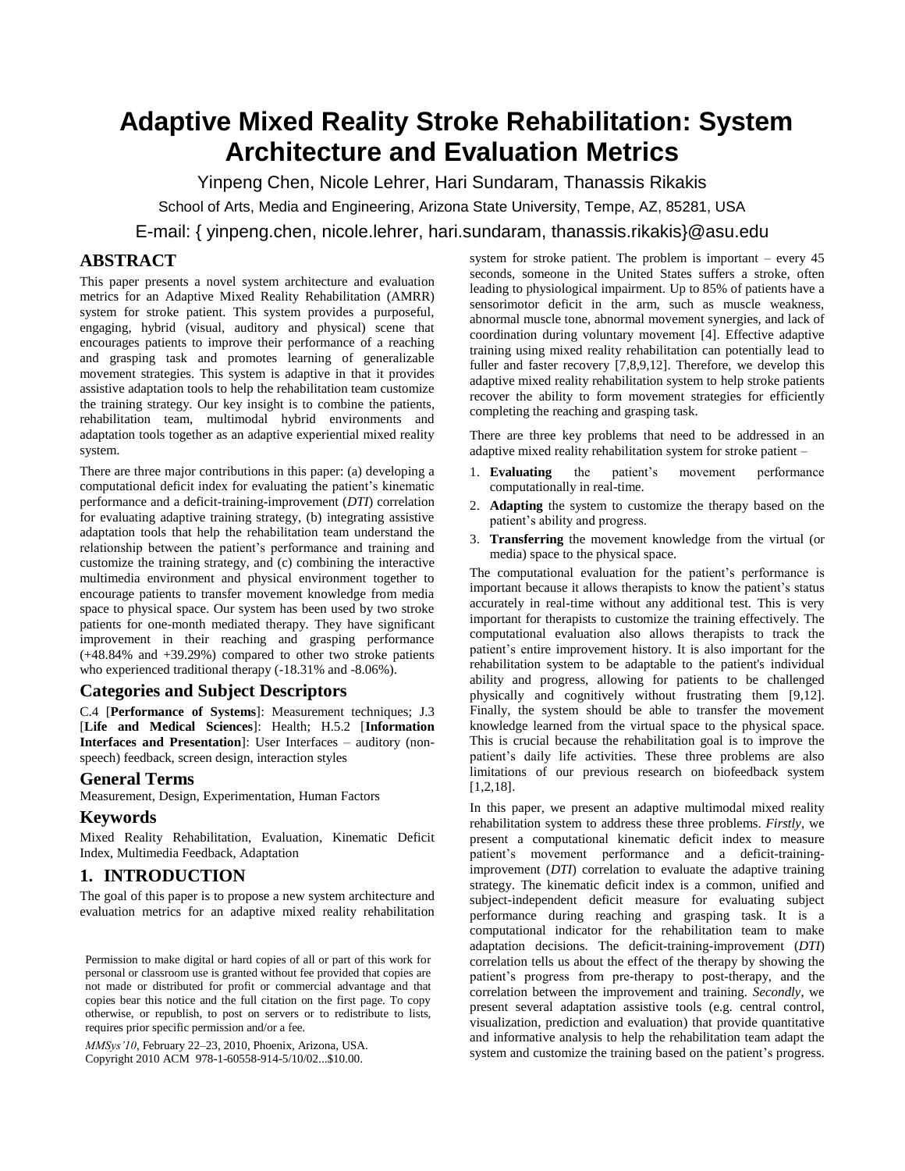# **Adaptive Mixed Reality Stroke Rehabilitation: System Architecture and Evaluation Metrics**

Yinpeng Chen, Nicole Lehrer, Hari Sundaram, Thanassis Rikakis School of Arts, Media and Engineering, Arizona State University, Tempe, AZ, 85281, USA E-mail: { yinpeng.chen, nicole.lehrer, hari.sundaram, thanassis.rikakis}@asu.edu

# **ABSTRACT**

This paper presents a novel system architecture and evaluation metrics for an Adaptive Mixed Reality Rehabilitation (AMRR) system for stroke patient. This system provides a purposeful, engaging, hybrid (visual, auditory and physical) scene that encourages patients to improve their performance of a reaching and grasping task and promotes learning of generalizable movement strategies. This system is adaptive in that it provides assistive adaptation tools to help the rehabilitation team customize the training strategy. Our key insight is to combine the patients, rehabilitation team, multimodal hybrid environments and adaptation tools together as an adaptive experiential mixed reality system.

There are three major contributions in this paper: (a) developing a computational deficit index for evaluating the patient's kinematic performance and a deficit-training-improvement (*DTI*) correlation for evaluating adaptive training strategy, (b) integrating assistive adaptation tools that help the rehabilitation team understand the relationship between the patient's performance and training and customize the training strategy, and (c) combining the interactive multimedia environment and physical environment together to encourage patients to transfer movement knowledge from media space to physical space. Our system has been used by two stroke patients for one-month mediated therapy. They have significant improvement in their reaching and grasping performance (+48.84% and +39.29%) compared to other two stroke patients who experienced traditional therapy (-18.31% and -8.06%).

# **Categories and Subject Descriptors**

C.4 [**Performance of Systems**]: Measurement techniques; J.3 [**Life and Medical Sciences**]: Health; H.5.2 [**Information Interfaces and Presentation**]: User Interfaces – auditory (nonspeech) feedback, screen design, interaction styles

# **General Terms**

Measurement, Design, Experimentation, Human Factors

# **Keywords**

Mixed Reality Rehabilitation, Evaluation, Kinematic Deficit Index, Multimedia Feedback, Adaptation

# **1. INTRODUCTION**

The goal of this paper is to propose a new system architecture and evaluation metrics for an adaptive mixed reality rehabilitation

Permission to make digital or hard copies of all or part of this work for personal or classroom use is granted without fee provided that copies are not made or distributed for profit or commercial advantage and that copies bear this notice and the full citation on the first page. To copy otherwise, or republish, to post on servers or to redistribute to lists, requires prior specific permission and/or a fee.

*MMSys'10*, February 22–23, 2010, Phoenix, Arizona, USA. Copyright 2010 ACM 978-1-60558-914-5/10/02...\$10.00.

system for stroke patient. The problem is important – every 45 seconds, someone in the United States suffers a stroke, often leading to physiological impairment. Up to 85% of patients have a sensorimotor deficit in the arm, such as muscle weakness, abnormal muscle tone, abnormal movement synergies, and lack of coordination during voluntary movement [4]. Effective adaptive training using mixed reality rehabilitation can potentially lead to fuller and faster recovery [7,8,9,12]. Therefore, we develop this adaptive mixed reality rehabilitation system to help stroke patients recover the ability to form movement strategies for efficiently completing the reaching and grasping task.

There are three key problems that need to be addressed in an adaptive mixed reality rehabilitation system for stroke patient –

- 1. **Evaluating** the patient's movement performance computationally in real-time.
- 2. **Adapting** the system to customize the therapy based on the patient's ability and progress.
- 3. **Transferring** the movement knowledge from the virtual (or media) space to the physical space.

The computational evaluation for the patient's performance is important because it allows therapists to know the patient's status accurately in real-time without any additional test. This is very important for therapists to customize the training effectively. The computational evaluation also allows therapists to track the patient's entire improvement history. It is also important for the rehabilitation system to be adaptable to the patient's individual ability and progress, allowing for patients to be challenged physically and cognitively without frustrating them [9,12]. Finally, the system should be able to transfer the movement knowledge learned from the virtual space to the physical space. This is crucial because the rehabilitation goal is to improve the patient's daily life activities. These three problems are also limitations of our previous research on biofeedback system [1,2,18].

In this paper, we present an adaptive multimodal mixed reality rehabilitation system to address these three problems. *Firstly*, we present a computational kinematic deficit index to measure patient's movement performance and a deficit-trainingimprovement (*DTI*) correlation to evaluate the adaptive training strategy. The kinematic deficit index is a common, unified and subject-independent deficit measure for evaluating subject performance during reaching and grasping task. It is a computational indicator for the rehabilitation team to make adaptation decisions. The deficit-training-improvement (*DTI*) correlation tells us about the effect of the therapy by showing the patient's progress from pre-therapy to post-therapy, and the correlation between the improvement and training. *Secondly*, we present several adaptation assistive tools (e.g. central control, visualization, prediction and evaluation) that provide quantitative and informative analysis to help the rehabilitation team adapt the system and customize the training based on the patient's progress.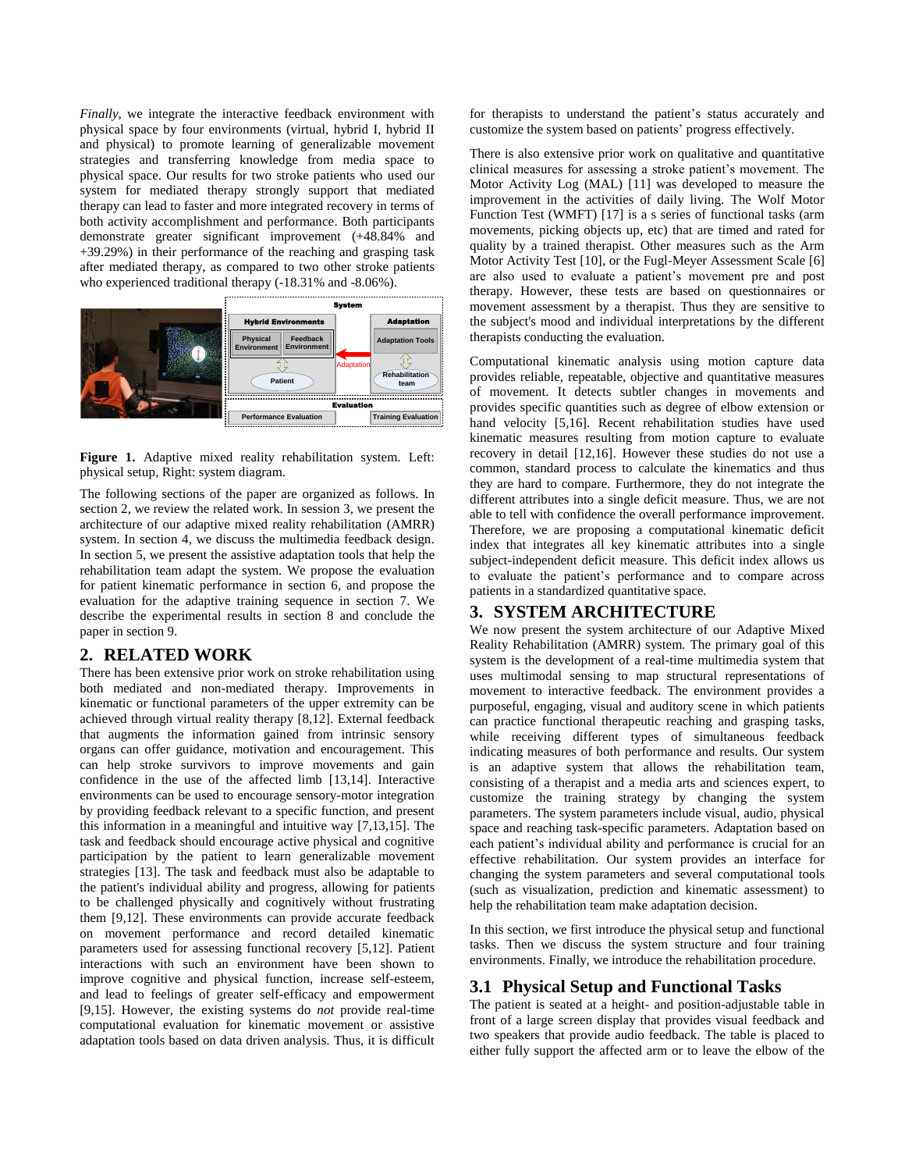*Finally*, we integrate the interactive feedback environment with physical space by four environments (virtual, hybrid I, hybrid II and physical) to promote learning of generalizable movement strategies and transferring knowledge from media space to physical space. Our results for two stroke patients who used our system for mediated therapy strongly support that mediated therapy can lead to faster and more integrated recovery in terms of both activity accomplishment and performance. Both participants demonstrate greater significant improvement (+48.84% and +39.29%) in their performance of the reaching and grasping task after mediated therapy, as compared to two other stroke patients who experienced traditional therapy (-18.31% and -8.06%).



<span id="page-1-0"></span>**Figure 1.** Adaptive mixed reality rehabilitation system. Left: physical setup, Right: system diagram.

The following sections of the paper are organized as follows. In section 2, we review the related work. In session 3, we present the architecture of our adaptive mixed reality rehabilitation (AMRR) system. In section 4, we discuss the multimedia feedback design. In section 5, we present the assistive adaptation tools that help the rehabilitation team adapt the system. We propose the evaluation for patient kinematic performance in section 6, and propose the evaluation for the adaptive training sequence in section 7. We describe the experimental results in section 8 and conclude the paper in section 9.

# **2. RELATED WORK**

There has been extensive prior work on stroke rehabilitation using both mediated and non-mediated therapy. Improvements in kinematic or functional parameters of the upper extremity can be achieved through virtual reality therapy [8,12]. External feedback that augments the information gained from intrinsic sensory organs can offer guidance, motivation and encouragement. This can help stroke survivors to improve movements and gain confidence in the use of the affected limb [13,14]. Interactive environments can be used to encourage sensory-motor integration by providing feedback relevant to a specific function, and present this information in a meaningful and intuitive way [7,13,15]. The task and feedback should encourage active physical and cognitive participation by the patient to learn generalizable movement strategies [13]. The task and feedback must also be adaptable to the patient's individual ability and progress, allowing for patients to be challenged physically and cognitively without frustrating them [9,12]. These environments can provide accurate feedback on movement performance and record detailed kinematic parameters used for assessing functional recovery [5,12]. Patient interactions with such an environment have been shown to improve cognitive and physical function, increase self-esteem, and lead to feelings of greater self-efficacy and empowerment [9,15]. However, the existing systems do *not* provide real-time computational evaluation for kinematic movement or assistive adaptation tools based on data driven analysis. Thus, it is difficult

for therapists to understand the patient's status accurately and customize the system based on patients' progress effectively.

There is also extensive prior work on qualitative and quantitative clinical measures for assessing a stroke patient's movement. The Motor Activity Log (MAL) [11] was developed to measure the improvement in the activities of daily living. The Wolf Motor Function Test (WMFT) [17] is a s series of functional tasks (arm movements, picking objects up, etc) that are timed and rated for quality by a trained therapist. Other measures such as the Arm Motor Activity Test [10], or the Fugl-Meyer Assessment Scale [6] are also used to evaluate a patient's movement pre and post therapy. However, these tests are based on questionnaires or movement assessment by a therapist. Thus they are sensitive to the subject's mood and individual interpretations by the different therapists conducting the evaluation.

Computational kinematic analysis using motion capture data provides reliable, repeatable, objective and quantitative measures of movement. It detects subtler changes in movements and provides specific quantities such as degree of elbow extension or hand velocity [5,16]. Recent rehabilitation studies have used kinematic measures resulting from motion capture to evaluate recovery in detail [12,16]. However these studies do not use a common, standard process to calculate the kinematics and thus they are hard to compare. Furthermore, they do not integrate the different attributes into a single deficit measure. Thus, we are not able to tell with confidence the overall performance improvement. Therefore, we are proposing a computational kinematic deficit index that integrates all key kinematic attributes into a single subject-independent deficit measure. This deficit index allows us to evaluate the patient's performance and to compare across patients in a standardized quantitative space.

# **3. SYSTEM ARCHITECTURE**

We now present the system architecture of our Adaptive Mixed Reality Rehabilitation (AMRR) system. The primary goal of this system is the development of a real-time multimedia system that uses multimodal sensing to map structural representations of movement to interactive feedback. The environment provides a purposeful, engaging, visual and auditory scene in which patients can practice functional therapeutic reaching and grasping tasks, while receiving different types of simultaneous feedback indicating measures of both performance and results. Our system is an adaptive system that allows the rehabilitation team, consisting of a therapist and a media arts and sciences expert, to customize the training strategy by changing the system parameters. The system parameters include visual, audio, physical space and reaching task-specific parameters. Adaptation based on each patient's individual ability and performance is crucial for an effective rehabilitation. Our system provides an interface for changing the system parameters and several computational tools (such as visualization, prediction and kinematic assessment) to help the rehabilitation team make adaptation decision.

In this section, we first introduce the physical setup and functional tasks. Then we discuss the system structure and four training environments. Finally, we introduce the rehabilitation procedure.

# <span id="page-1-1"></span>**3.1 Physical Setup and Functional Tasks**

The patient is seated at a height- and position-adjustable table in front of a large screen display that provides visual feedback and two speakers that provide audio feedback. The table is placed to either fully support the affected arm or to leave the elbow of the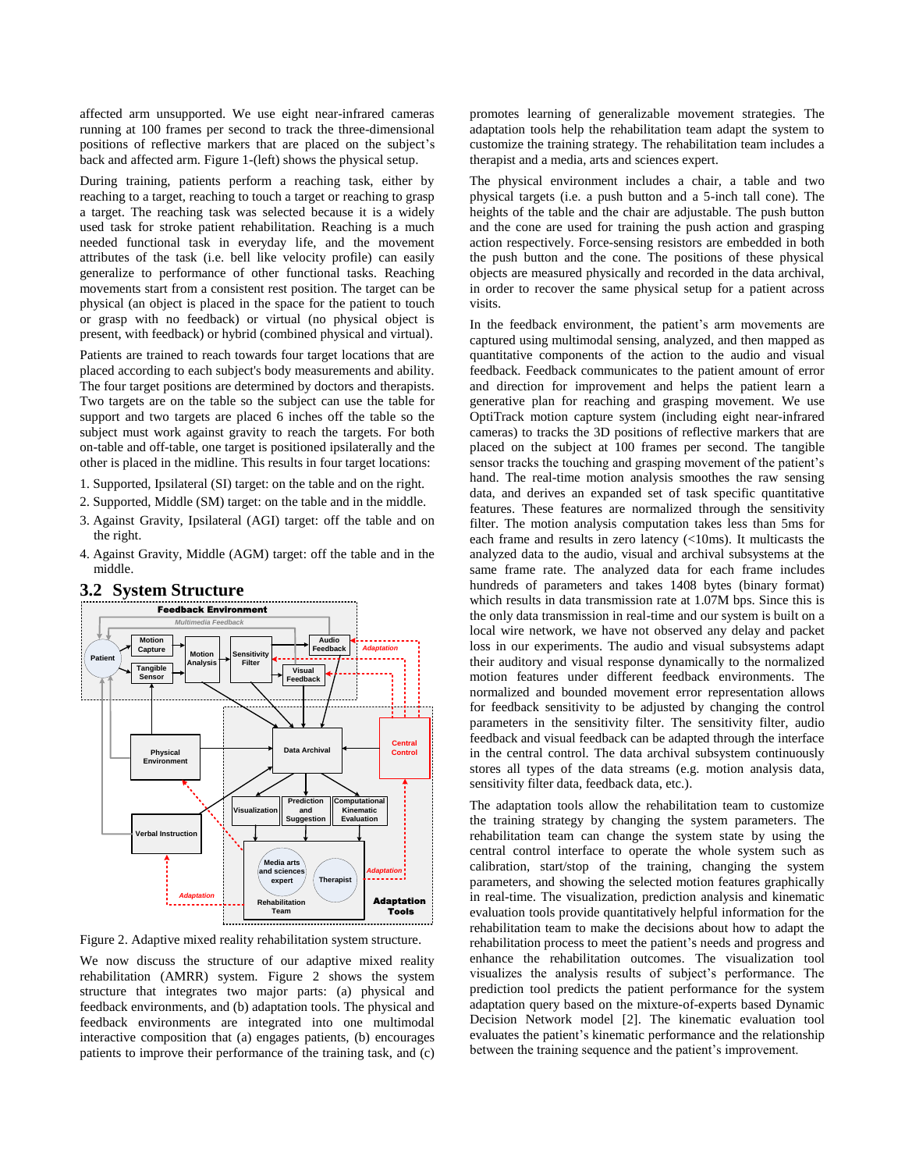affected arm unsupported. We use eight near-infrared cameras running at 100 frames per second to track the three-dimensional positions of reflective markers that are placed on the subject's back and affected arm. [Figure 1-](#page-1-0)(left) shows the physical setup.

During training, patients perform a reaching task, either by reaching to a target, reaching to touch a target or reaching to grasp a target. The reaching task was selected because it is a widely used task for stroke patient rehabilitation. Reaching is a much needed functional task in everyday life, and the movement attributes of the task (i.e. bell like velocity profile) can easily generalize to performance of other functional tasks. Reaching movements start from a consistent rest position. The target can be physical (an object is placed in the space for the patient to touch or grasp with no feedback) or virtual (no physical object is present, with feedback) or hybrid (combined physical and virtual).

Patients are trained to reach towards four target locations that are placed according to each subject's body measurements and ability. The four target positions are determined by doctors and therapists. Two targets are on the table so the subject can use the table for support and two targets are placed 6 inches off the table so the subject must work against gravity to reach the targets. For both on-table and off-table, one target is positioned ipsilaterally and the other is placed in the midline. This results in four target locations:

- 1. Supported, Ipsilateral (SI) target: on the table and on the right.
- 2. Supported, Middle (SM) target: on the table and in the middle.
- 3. Against Gravity, Ipsilateral (AGI) target: off the table and on the right.
- 4. Against Gravity, Middle (AGM) target: off the table and in the middle.



#### **3.2 System Structure**

<span id="page-2-0"></span>Figure 2. Adaptive mixed reality rehabilitation system structure.

We now discuss the structure of our adaptive mixed reality rehabilitation (AMRR) system. [Figure 2](#page-2-0) shows the system structure that integrates two major parts: (a) physical and feedback environments, and (b) adaptation tools. The physical and feedback environments are integrated into one multimodal interactive composition that (a) engages patients, (b) encourages patients to improve their performance of the training task, and (c)

promotes learning of generalizable movement strategies. The adaptation tools help the rehabilitation team adapt the system to customize the training strategy. The rehabilitation team includes a therapist and a media, arts and sciences expert.

The physical environment includes a chair, a table and two physical targets (i.e. a push button and a 5-inch tall cone). The heights of the table and the chair are adjustable. The push button and the cone are used for training the push action and grasping action respectively. Force-sensing resistors are embedded in both the push button and the cone. The positions of these physical objects are measured physically and recorded in the data archival, in order to recover the same physical setup for a patient across visits.

In the feedback environment, the patient's arm movements are captured using multimodal sensing, analyzed, and then mapped as quantitative components of the action to the audio and visual feedback. Feedback communicates to the patient amount of error and direction for improvement and helps the patient learn a generative plan for reaching and grasping movement. We use OptiTrack motion capture system (including eight near-infrared cameras) to tracks the 3D positions of reflective markers that are placed on the subject at 100 frames per second. The tangible sensor tracks the touching and grasping movement of the patient's hand. The real-time motion analysis smoothes the raw sensing data, and derives an expanded set of task specific quantitative features. These features are normalized through the sensitivity filter. The motion analysis computation takes less than 5ms for each frame and results in zero latency (<10ms). It multicasts the analyzed data to the audio, visual and archival subsystems at the same frame rate. The analyzed data for each frame includes hundreds of parameters and takes 1408 bytes (binary format) which results in data transmission rate at 1.07M bps. Since this is the only data transmission in real-time and our system is built on a local wire network, we have not observed any delay and packet loss in our experiments. The audio and visual subsystems adapt their auditory and visual response dynamically to the normalized motion features under different feedback environments. The normalized and bounded movement error representation allows for feedback sensitivity to be adjusted by changing the control parameters in the sensitivity filter. The sensitivity filter, audio feedback and visual feedback can be adapted through the interface in the central control. The data archival subsystem continuously stores all types of the data streams (e.g. motion analysis data, sensitivity filter data, feedback data, etc.).

The adaptation tools allow the rehabilitation team to customize the training strategy by changing the system parameters. The rehabilitation team can change the system state by using the central control interface to operate the whole system such as calibration, start/stop of the training, changing the system parameters, and showing the selected motion features graphically in real-time. The visualization, prediction analysis and kinematic evaluation tools provide quantitatively helpful information for the rehabilitation team to make the decisions about how to adapt the rehabilitation process to meet the patient's needs and progress and enhance the rehabilitation outcomes. The visualization tool visualizes the analysis results of subject's performance. The prediction tool predicts the patient performance for the system adaptation query based on the mixture-of-experts based Dynamic Decision Network model [2]. The kinematic evaluation tool evaluates the patient's kinematic performance and the relationship between the training sequence and the patient's improvement.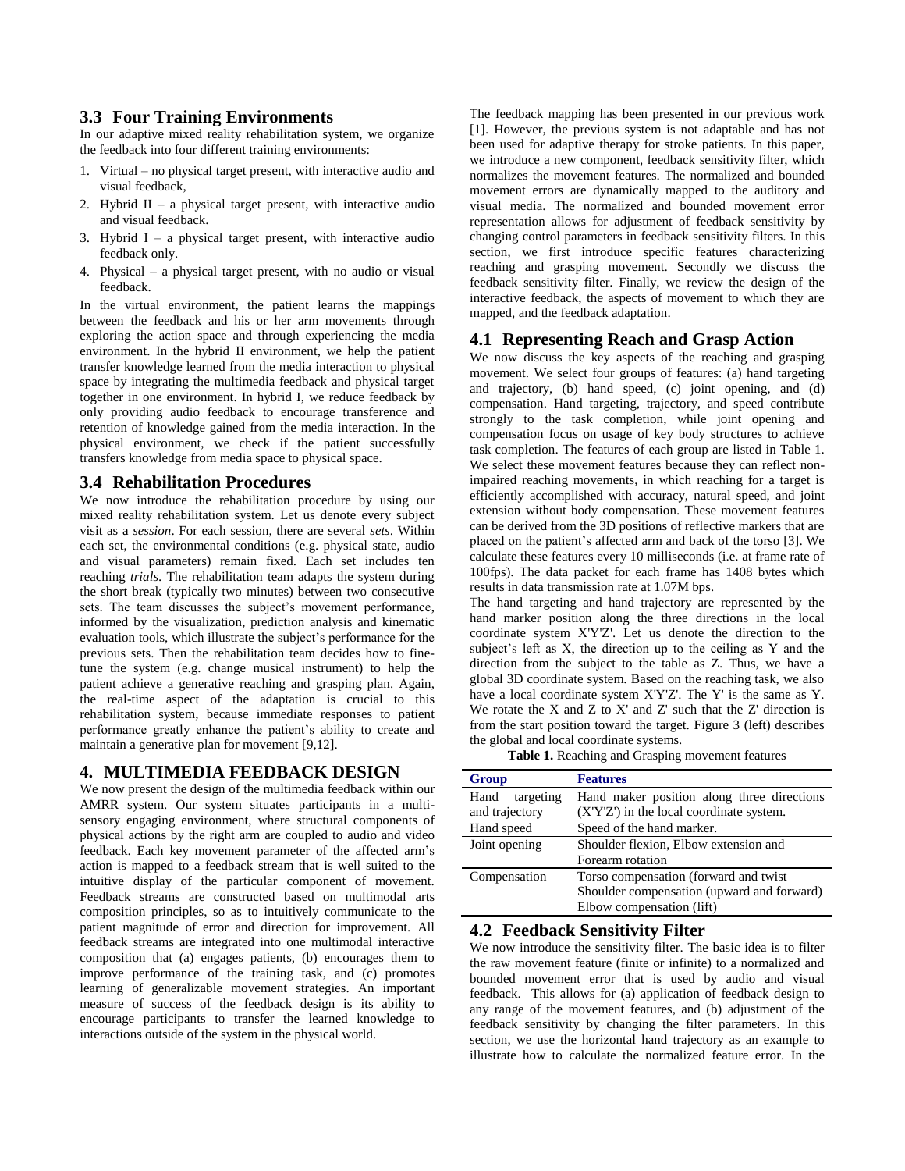# <span id="page-3-1"></span>**3.3 Four Training Environments**

In our adaptive mixed reality rehabilitation system, we organize the feedback into four different training environments:

- 1. Virtual no physical target present, with interactive audio and visual feedback,
- 2. Hybrid  $II a$  physical target present, with interactive audio and visual feedback.
- 3. Hybrid  $I a$  physical target present, with interactive audio feedback only.
- 4. Physical a physical target present, with no audio or visual feedback.

In the virtual environment, the patient learns the mappings between the feedback and his or her arm movements through exploring the action space and through experiencing the media environment. In the hybrid II environment, we help the patient transfer knowledge learned from the media interaction to physical space by integrating the multimedia feedback and physical target together in one environment. In hybrid I, we reduce feedback by only providing audio feedback to encourage transference and retention of knowledge gained from the media interaction. In the physical environment, we check if the patient successfully transfers knowledge from media space to physical space.

## <span id="page-3-2"></span>**3.4 Rehabilitation Procedures**

We now introduce the rehabilitation procedure by using our mixed reality rehabilitation system. Let us denote every subject visit as a *session*. For each session, there are several *sets*. Within each set, the environmental conditions (e.g. physical state, audio and visual parameters) remain fixed. Each set includes ten reaching *trials*. The rehabilitation team adapts the system during the short break (typically two minutes) between two consecutive sets. The team discusses the subject's movement performance, informed by the visualization, prediction analysis and kinematic evaluation tools, which illustrate the subject's performance for the previous sets. Then the rehabilitation team decides how to finetune the system (e.g. change musical instrument) to help the patient achieve a generative reaching and grasping plan. Again, the real-time aspect of the adaptation is crucial to this rehabilitation system, because immediate responses to patient performance greatly enhance the patient's ability to create and maintain a generative plan for movement [9,12].

# **4. MULTIMEDIA FEEDBACK DESIGN**

We now present the design of the multimedia feedback within our AMRR system. Our system situates participants in a multisensory engaging environment, where structural components of physical actions by the right arm are coupled to audio and video feedback. Each key movement parameter of the affected arm's action is mapped to a feedback stream that is well suited to the intuitive display of the particular component of movement. Feedback streams are constructed based on multimodal arts composition principles, so as to intuitively communicate to the patient magnitude of error and direction for improvement. All feedback streams are integrated into one multimodal interactive composition that (a) engages patients, (b) encourages them to improve performance of the training task, and (c) promotes learning of generalizable movement strategies. An important measure of success of the feedback design is its ability to encourage participants to transfer the learned knowledge to interactions outside of the system in the physical world.

The feedback mapping has been presented in our previous work [1]. However, the previous system is not adaptable and has not been used for adaptive therapy for stroke patients. In this paper, we introduce a new component, feedback sensitivity filter, which normalizes the movement features. The normalized and bounded movement errors are dynamically mapped to the auditory and visual media. The normalized and bounded movement error representation allows for adjustment of feedback sensitivity by changing control parameters in feedback sensitivity filters. In this section, we first introduce specific features characterizing reaching and grasping movement. Secondly we discuss the feedback sensitivity filter. Finally, we review the design of the interactive feedback, the aspects of movement to which they are mapped, and the feedback adaptation.

# **4.1 Representing Reach and Grasp Action**

We now discuss the key aspects of the reaching and grasping movement. We select four groups of features: (a) hand targeting and trajectory, (b) hand speed, (c) joint opening, and (d) compensation. Hand targeting, trajectory, and speed contribute strongly to the task completion, while joint opening and compensation focus on usage of key body structures to achieve task completion. The features of each group are listed in [Table 1.](#page-3-0) We select these movement features because they can reflect nonimpaired reaching movements, in which reaching for a target is efficiently accomplished with accuracy, natural speed, and joint extension without body compensation. These movement features can be derived from the 3D positions of reflective markers that are placed on the patient's affected arm and back of the torso [3]. We calculate these features every 10 milliseconds (i.e. at frame rate of 100fps). The data packet for each frame has 1408 bytes which results in data transmission rate at 1.07M bps.

The hand targeting and hand trajectory are represented by the hand marker position along the three directions in the local coordinate system X'Y'Z'. Let us denote the direction to the subject's left as X, the direction up to the ceiling as Y and the direction from the subject to the table as Z. Thus, we have a global 3D coordinate system. Based on the reaching task, we also have a local coordinate system X'Y'Z'. The Y' is the same as Y. We rotate the  $X$  and  $Z$  to  $X'$  and  $Z'$  such that the  $Z'$  direction is from the start position toward the target. [Figure 3](#page-4-0) (left) describes the global and local coordinate systems.

**Table 1.** Reaching and Grasping movement features

<span id="page-3-0"></span>

| Group             | <b>Features</b>                            |
|-------------------|--------------------------------------------|
| Hand<br>targeting | Hand maker position along three directions |
| and trajectory    | $(X'Y'Z')$ in the local coordinate system. |
| Hand speed        | Speed of the hand marker.                  |
| Joint opening     | Shoulder flexion, Elbow extension and      |
|                   | Forearm rotation                           |
| Compensation      | Torso compensation (forward and twist)     |
|                   | Shoulder compensation (upward and forward) |
|                   | Elbow compensation (lift)                  |

# **4.2 Feedback Sensitivity Filter**

We now introduce the sensitivity filter. The basic idea is to filter the raw movement feature (finite or infinite) to a normalized and bounded movement error that is used by audio and visual feedback. This allows for (a) application of feedback design to any range of the movement features, and (b) adjustment of the feedback sensitivity by changing the filter parameters. In this section, we use the horizontal hand trajectory as an example to illustrate how to calculate the normalized feature error. In the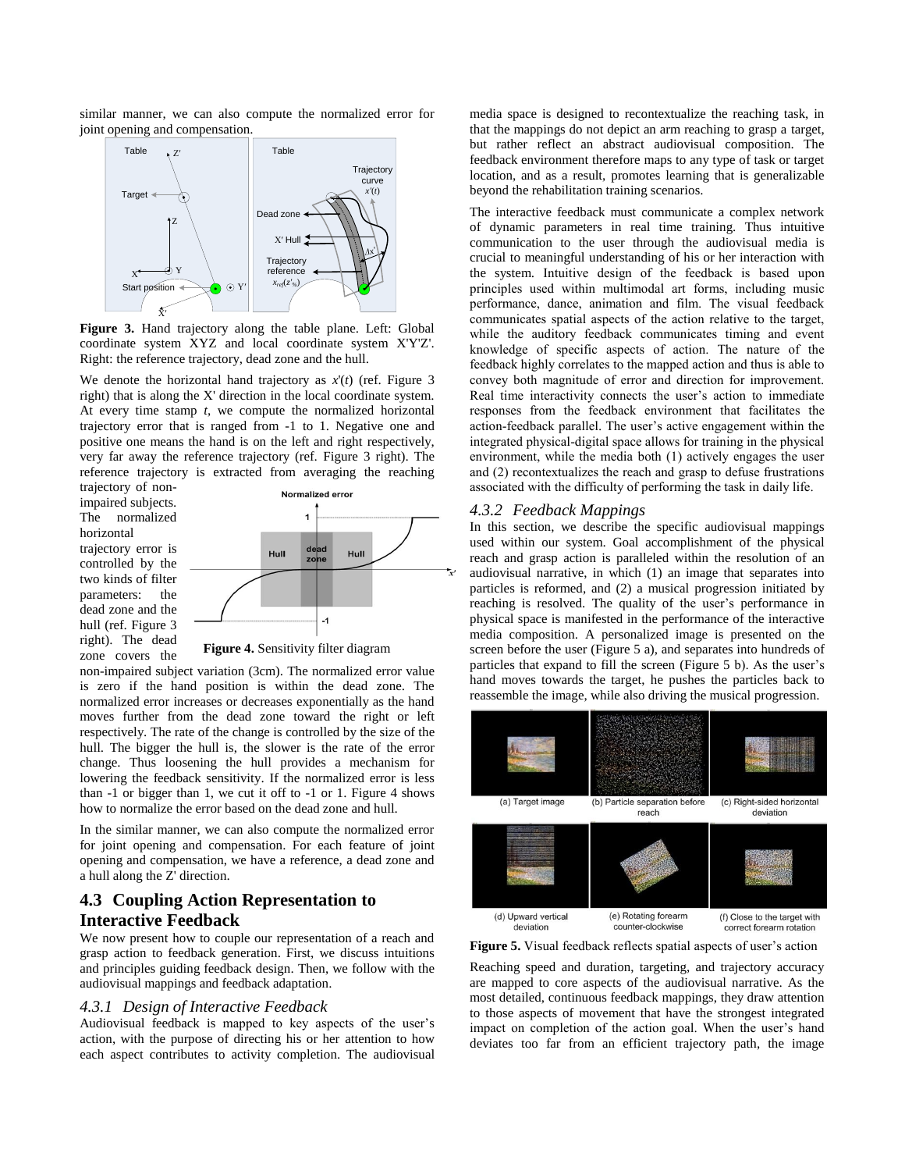similar manner, we can also compute the normalized error for joint opening and compensation.



<span id="page-4-0"></span>**Figure 3.** Hand trajectory along the table plane. Left: Global coordinate system XYZ and local coordinate system X'Y'Z'. Right: the reference trajectory, dead zone and the hull.

We denote the horizontal hand trajectory as *x*'(*t*) (ref. [Figure 3](#page-4-0) right) that is along the X' direction in the local coordinate system. At every time stamp *t*, we compute the normalized horizontal trajectory error that is ranged from -1 to 1. Negative one and positive one means the hand is on the left and right respectively, very far away the reference trajectory (ref. [Figure 3](#page-4-0) right). The reference trajectory is extracted from averaging the reaching

trajectory of nonimpaired subjects. The normalized horizontal trajectory error is

controlled by the two kinds of filter parameters: the dead zone and the hull (ref. [Figure 3](#page-4-0) right). The dead zone covers the



<span id="page-4-1"></span>**Figure 4.** Sensitivity filter diagram

non-impaired subject variation (3cm). The normalized error value is zero if the hand position is within the dead zone. The normalized error increases or decreases exponentially as the hand moves further from the dead zone toward the right or left respectively. The rate of the change is controlled by the size of the hull. The bigger the hull is, the slower is the rate of the error change. Thus loosening the hull provides a mechanism for lowering the feedback sensitivity. If the normalized error is less than -1 or bigger than 1, we cut it off to -1 or 1. [Figure 4](#page-4-1) shows how to normalize the error based on the dead zone and hull.

In the similar manner, we can also compute the normalized error for joint opening and compensation. For each feature of joint opening and compensation, we have a reference, a dead zone and a hull along the Z' direction.

# **4.3 Coupling Action Representation to Interactive Feedback**

We now present how to couple our representation of a reach and grasp action to feedback generation. First, we discuss intuitions and principles guiding feedback design. Then, we follow with the audiovisual mappings and feedback adaptation.

# *4.3.1 Design of Interactive Feedback*

Audiovisual feedback is mapped to key aspects of the user's action, with the purpose of directing his or her attention to how each aspect contributes to activity completion. The audiovisual

media space is designed to recontextualize the reaching task, in that the mappings do not depict an arm reaching to grasp a target, but rather reflect an abstract audiovisual composition. The feedback environment therefore maps to any type of task or target location, and as a result, promotes learning that is generalizable beyond the rehabilitation training scenarios.

The interactive feedback must communicate a complex network of dynamic parameters in real time training. Thus intuitive communication to the user through the audiovisual media is crucial to meaningful understanding of his or her interaction with the system. Intuitive design of the feedback is based upon principles used within multimodal art forms, including music performance, dance, animation and film. The visual feedback communicates spatial aspects of the action relative to the target, while the auditory feedback communicates timing and event knowledge of specific aspects of action. The nature of the feedback highly correlates to the mapped action and thus is able to convey both magnitude of error and direction for improvement. Real time interactivity connects the user's action to immediate responses from the feedback environment that facilitates the action-feedback parallel. The user's active engagement within the integrated physical-digital space allows for training in the physical environment, while the media both (1) actively engages the user and (2) recontextualizes the reach and grasp to defuse frustrations associated with the difficulty of performing the task in daily life.

#### *4.3.2 Feedback Mappings*

In this section, we describe the specific audiovisual mappings used within our system. Goal accomplishment of the physical reach and grasp action is paralleled within the resolution of an audiovisual narrative, in which (1) an image that separates into particles is reformed, and (2) a musical progression initiated by reaching is resolved. The quality of the user's performance in physical space is manifested in the performance of the interactive media composition. A personalized image is presented on the screen before the user [\(Figure 5](#page-4-2) a), and separates into hundreds of particles that expand to fill the screen [\(Figure 5](#page-4-2) b). As the user's hand moves towards the target, he pushes the particles back to reassemble the image, while also driving the musical progression.



<span id="page-4-2"></span>**Figure 5.** Visual feedback reflects spatial aspects of user's action

Reaching speed and duration, targeting, and trajectory accuracy are mapped to core aspects of the audiovisual narrative. As the most detailed, continuous feedback mappings, they draw attention to those aspects of movement that have the strongest integrated impact on completion of the action goal. When the user's hand deviates too far from an efficient trajectory path, the image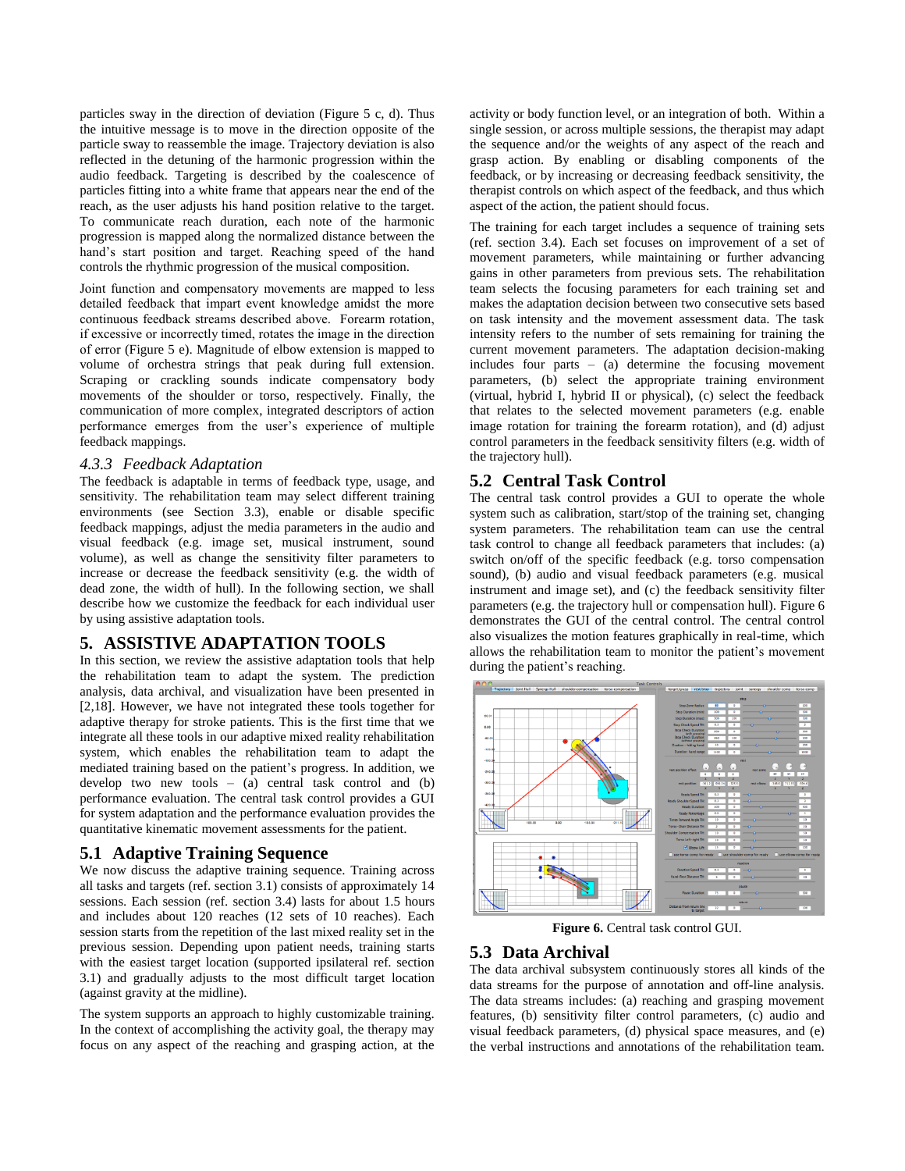particles sway in the direction of deviation [\(Figure 5](#page-4-2) c, d). Thus the intuitive message is to move in the direction opposite of the particle sway to reassemble the image. Trajectory deviation is also reflected in the detuning of the harmonic progression within the audio feedback. Targeting is described by the coalescence of particles fitting into a white frame that appears near the end of the reach, as the user adjusts his hand position relative to the target. To communicate reach duration, each note of the harmonic progression is mapped along the normalized distance between the hand's start position and target. Reaching speed of the hand controls the rhythmic progression of the musical composition.

Joint function and compensatory movements are mapped to less detailed feedback that impart event knowledge amidst the more continuous feedback streams described above. Forearm rotation, if excessive or incorrectly timed, rotates the image in the direction of error [\(Figure 5](#page-4-2) e). Magnitude of elbow extension is mapped to volume of orchestra strings that peak during full extension. Scraping or crackling sounds indicate compensatory body movements of the shoulder or torso, respectively. Finally, the communication of more complex, integrated descriptors of action performance emerges from the user's experience of multiple feedback mappings.

# *4.3.3 Feedback Adaptation*

The feedback is adaptable in terms of feedback type, usage, and sensitivity. The rehabilitation team may select different training environments (see Section [3.3\)](#page-3-1), enable or disable specific feedback mappings, adjust the media parameters in the audio and visual feedback (e.g. image set, musical instrument, sound volume), as well as change the sensitivity filter parameters to increase or decrease the feedback sensitivity (e.g. the width of dead zone, the width of hull). In the following section, we shall describe how we customize the feedback for each individual user by using assistive adaptation tools.

# **5. ASSISTIVE ADAPTATION TOOLS**

In this section, we review the assistive adaptation tools that help the rehabilitation team to adapt the system. The prediction analysis, data archival, and visualization have been presented in [2,18]. However, we have not integrated these tools together for adaptive therapy for stroke patients. This is the first time that we integrate all these tools in our adaptive mixed reality rehabilitation system, which enables the rehabilitation team to adapt the mediated training based on the patient's progress. In addition, we develop two new tools  $-$  (a) central task control and (b) performance evaluation. The central task control provides a GUI for system adaptation and the performance evaluation provides the quantitative kinematic movement assessments for the patient.

# <span id="page-5-1"></span>**5.1 Adaptive Training Sequence**

We now discuss the adaptive training sequence. Training across all tasks and targets (ref. section [3.1\)](#page-1-1) consists of approximately 14 sessions. Each session (ref. section [3.4\)](#page-3-2) lasts for about 1.5 hours and includes about 120 reaches (12 sets of 10 reaches). Each session starts from the repetition of the last mixed reality set in the previous session. Depending upon patient needs, training starts with the easiest target location (supported ipsilateral ref. section [3.1\)](#page-1-1) and gradually adjusts to the most difficult target location (against gravity at the midline).

The system supports an approach to highly customizable training. In the context of accomplishing the activity goal, the therapy may focus on any aspect of the reaching and grasping action, at the activity or body function level, or an integration of both. Within a single session, or across multiple sessions, the therapist may adapt the sequence and/or the weights of any aspect of the reach and grasp action. By enabling or disabling components of the feedback, or by increasing or decreasing feedback sensitivity, the therapist controls on which aspect of the feedback, and thus which aspect of the action, the patient should focus.

The training for each target includes a sequence of training sets (ref. section [3.4\)](#page-3-2). Each set focuses on improvement of a set of movement parameters, while maintaining or further advancing gains in other parameters from previous sets. The rehabilitation team selects the focusing parameters for each training set and makes the adaptation decision between two consecutive sets based on task intensity and the movement assessment data. The task intensity refers to the number of sets remaining for training the current movement parameters. The adaptation decision-making includes four parts – (a) determine the focusing movement parameters, (b) select the appropriate training environment (virtual, hybrid I, hybrid II or physical), (c) select the feedback that relates to the selected movement parameters (e.g. enable image rotation for training the forearm rotation), and (d) adjust control parameters in the feedback sensitivity filters (e.g. width of the trajectory hull).

# **5.2 Central Task Control**

The central task control provides a GUI to operate the whole system such as calibration, start/stop of the training set, changing system parameters. The rehabilitation team can use the central task control to change all feedback parameters that includes: (a) switch on/off of the specific feedback (e.g. torso compensation sound), (b) audio and visual feedback parameters (e.g. musical instrument and image set), and (c) the feedback sensitivity filter parameters (e.g. the trajectory hull or compensation hull). [Figure 6](#page-5-0) demonstrates the GUI of the central control. The central control also visualizes the motion features graphically in real-time, which allows the rehabilitation team to monitor the patient's movement during the patient's reaching.



**Figure 6.** Central task control GUI.

# <span id="page-5-0"></span>**5.3 Data Archival**

The data archival subsystem continuously stores all kinds of the data streams for the purpose of annotation and off-line analysis. The data streams includes: (a) reaching and grasping movement features, (b) sensitivity filter control parameters, (c) audio and visual feedback parameters, (d) physical space measures, and (e) the verbal instructions and annotations of the rehabilitation team.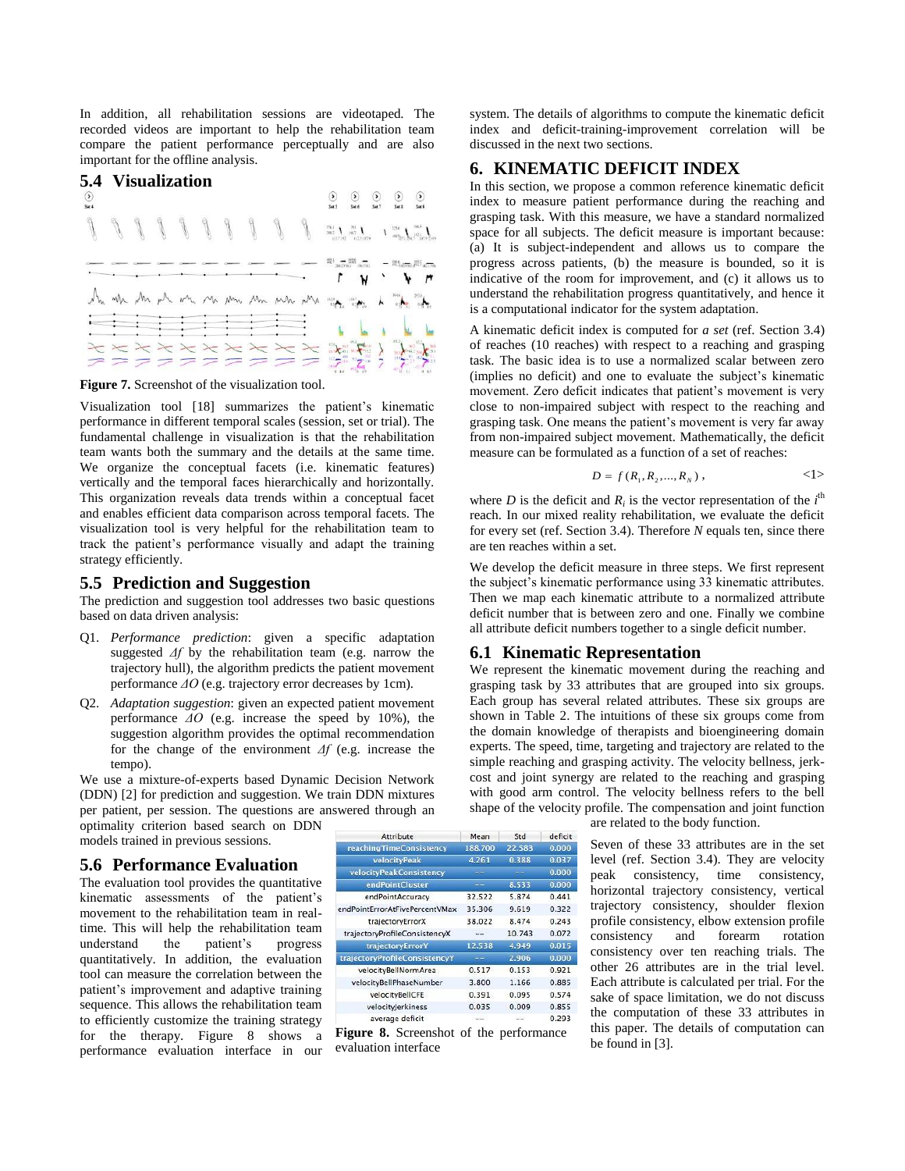In addition, all rehabilitation sessions are videotaped. The recorded videos are important to help the rehabilitation team compare the patient performance perceptually and are also important for the offline analysis.

# **5.4 Visualization**



**Figure 7.** Screenshot of the visualization tool.

Visualization tool [18] summarizes the patient's kinematic performance in different temporal scales (session, set or trial). The fundamental challenge in visualization is that the rehabilitation team wants both the summary and the details at the same time. We organize the conceptual facets (i.e. kinematic features) vertically and the temporal faces hierarchically and horizontally. This organization reveals data trends within a conceptual facet and enables efficient data comparison across temporal facets. The visualization tool is very helpful for the rehabilitation team to track the patient's performance visually and adapt the training strategy efficiently.

#### **5.5 Prediction and Suggestion**

The prediction and suggestion tool addresses two basic questions based on data driven analysis:

- Q1. *Performance prediction*: given a specific adaptation suggested *Δf* by the rehabilitation team (e.g. narrow the trajectory hull), the algorithm predicts the patient movement performance *ΔO* (e.g. trajectory error decreases by 1cm).
- Q2. *Adaptation suggestion*: given an expected patient movement performance *ΔO* (e.g. increase the speed by 10%), the suggestion algorithm provides the optimal recommendation for the change of the environment *Δf* (e.g. increase the tempo).

We use a mixture-of-experts based Dynamic Decision Network (DDN) [2] for prediction and suggestion. We train DDN mixtures per patient, per session. The questions are answered through an optimality criterion based search on DDN

models trained in previous sessions.

## **5.6 Performance Evaluation**

The evaluation tool provides the quantitative kinematic assessments of the patient's movement to the rehabilitation team in realtime. This will help the rehabilitation team understand the patient's progress quantitatively. In addition, the evaluation tool can measure the correlation between the patient's improvement and adaptive training sequence. This allows the rehabilitation team to efficiently customize the training strategy for the therapy. [Figure 8](#page-6-0) shows a performance evaluation interface in our evaluation interface

| Attribute                      | Mean           | Std    | deficit |
|--------------------------------|----------------|--------|---------|
| reachingTimeConsistency        | 188.700        | 22.583 | 0.000   |
| velocityPeak                   | 4.261          | 0.388  | 0.037   |
| velocityPeakConsistency        |                | استرب  | 0.000   |
| endPointCluster                |                | 8.533  | 0.000   |
| endPointAccuracy               | 32.522         | 5.874  | 0.441   |
| endPointErrorAtFivePercentVMax | 35,306         | 9.619  | 0.322   |
| trajectoryErrorX               | 38.022         | 8.474  | 0.243   |
| trajectoryProfileConsistencyX  | <b>Service</b> | 10.743 | 0.072   |
| trajectoryErrorY               | 12.538         | 4.949  | 0.015   |
| trajectoryProfileConsistencyY  | $-1$           | 2.906  | 0.000   |
| velocityBellNormArea           | 0.517          | 0.153  | 0.921   |
| velocityBellPhaseNumber        | 3.800          | 1.166  | 0.885   |
| velocityBellCFE                | 0.391          | 0.095  | 0.574   |
| velocityJerkiness              | 0.035          | 0.009  | 0.855   |
| average deficit                |                |        | 0.293   |
|                                |                |        |         |

<span id="page-6-0"></span>

system. The details of algorithms to compute the kinematic deficit index and deficit-training-improvement correlation will be discussed in the next two sections.

# **6. KINEMATIC DEFICIT INDEX**

In this section, we propose a common reference kinematic deficit index to measure patient performance during the reaching and grasping task. With this measure, we have a standard normalized space for all subjects. The deficit measure is important because: (a) It is subject-independent and allows us to compare the progress across patients, (b) the measure is bounded, so it is indicative of the room for improvement, and (c) it allows us to understand the rehabilitation progress quantitatively, and hence it is a computational indicator for the system adaptation.

A kinematic deficit index is computed for *a set* (ref. Section [3.4\)](#page-3-2) of reaches (10 reaches) with respect to a reaching and grasping task. The basic idea is to use a normalized scalar between zero (implies no deficit) and one to evaluate the subject's kinematic movement. Zero deficit indicates that patient's movement is very close to non-impaired subject with respect to the reaching and grasping task. One means the patient's movement is very far away from non-impaired subject movement. Mathematically, the deficit measure can be formulated as a function of a set of reaches:

$$
D = f(R_1, R_2, ..., R_N), \qquad \qquad \langle \, | \, \rangle
$$

where *D* is the deficit and  $R_i$  is the vector representation of the  $i^{\text{th}}$ reach. In our mixed reality rehabilitation, we evaluate the deficit for every set (ref. Sectio[n 3.4\)](#page-3-2). Therefore *N* equals ten, since there are ten reaches within a set.

We develop the deficit measure in three steps. We first represent the subject's kinematic performance using 33 kinematic attributes. Then we map each kinematic attribute to a normalized attribute deficit number that is between zero and one. Finally we combine all attribute deficit numbers together to a single deficit number.

# <span id="page-6-1"></span>**6.1 Kinematic Representation**

We represent the kinematic movement during the reaching and grasping task by 33 attributes that are grouped into six groups. Each group has several related attributes. These six groups are shown in [Table 2.](#page-7-0) The intuitions of these six groups come from the domain knowledge of therapists and bioengineering domain experts. The speed, time, targeting and trajectory are related to the simple reaching and grasping activity. The velocity bellness, jerkcost and joint synergy are related to the reaching and grasping with good arm control. The velocity bellness refers to the bell shape of the velocity profile. The compensation and joint function

are related to the body function.

Seven of these 33 attributes are in the set level (ref. Section [3.4\)](#page-3-2). They are velocity peak consistency, time consistency, horizontal trajectory consistency, vertical trajectory consistency, shoulder flexion profile consistency, elbow extension profile consistency and forearm rotation consistency over ten reaching trials. The other 26 attributes are in the trial level. Each attribute is calculated per trial. For the sake of space limitation, we do not discuss the computation of these 33 attributes in this paper. The details of computation can be found in [3].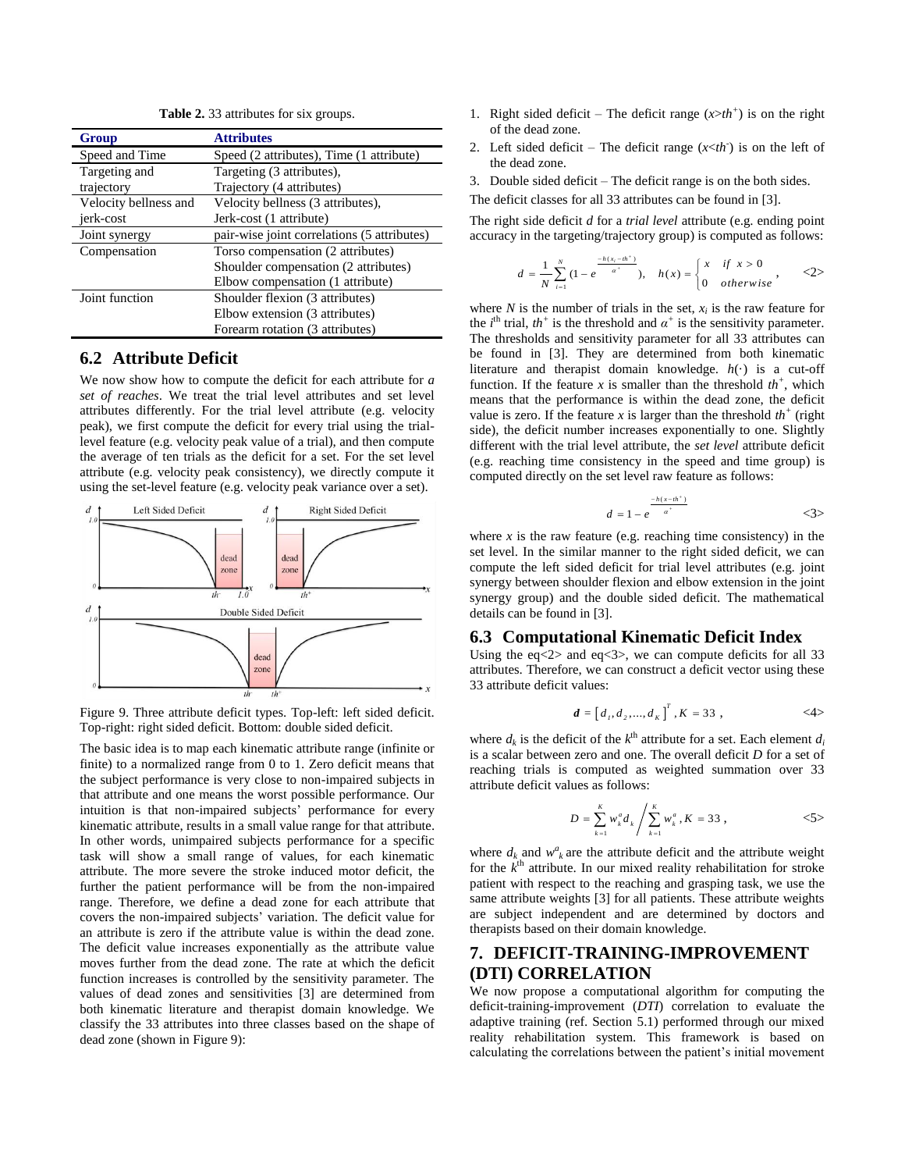<span id="page-7-0"></span>

| Group                 | <b>Attributes</b>                           |
|-----------------------|---------------------------------------------|
| Speed and Time        | Speed (2 attributes), Time (1 attribute)    |
| Targeting and         | Targeting (3 attributes),                   |
| trajectory            | Trajectory (4 attributes)                   |
| Velocity bellness and | Velocity bellness (3 attributes),           |
| jerk-cost             | Jerk-cost (1 attribute)                     |
| Joint synergy         | pair-wise joint correlations (5 attributes) |
| Compensation          | Torso compensation (2 attributes)           |
|                       | Shoulder compensation (2 attributes)        |
|                       | Elbow compensation (1 attribute)            |
| Joint function        | Shoulder flexion (3 attributes)             |
|                       | Elbow extension (3 attributes)              |
|                       | Forearm rotation (3 attributes)             |

**Table 2.** 33 attributes for six groups.

# <span id="page-7-2"></span>**6.2 Attribute Deficit**

We now show how to compute the deficit for each attribute for *a set of reaches*. We treat the trial level attributes and set level attributes differently. For the trial level attribute (e.g. velocity peak), we first compute the deficit for every trial using the triallevel feature (e.g. velocity peak value of a trial), and then compute the average of ten trials as the deficit for a set. For the set level attribute (e.g. velocity peak consistency), we directly compute it using the set-level feature (e.g. velocity peak variance over a set).



<span id="page-7-1"></span>Figure 9. Three attribute deficit types. Top-left: left sided deficit. Top-right: right sided deficit. Bottom: double sided deficit.

The basic idea is to map each kinematic attribute range (infinite or finite) to a normalized range from 0 to 1. Zero deficit means that the subject performance is very close to non-impaired subjects in that attribute and one means the worst possible performance. Our intuition is that non-impaired subjects' performance for every kinematic attribute, results in a small value range for that attribute. In other words, unimpaired subjects performance for a specific task will show a small range of values, for each kinematic attribute. The more severe the stroke induced motor deficit, the further the patient performance will be from the non-impaired range. Therefore, we define a dead zone for each attribute that covers the non-impaired subjects' variation. The deficit value for an attribute is zero if the attribute value is within the dead zone. The deficit value increases exponentially as the attribute value moves further from the dead zone. The rate at which the deficit function increases is controlled by the sensitivity parameter. The values of dead zones and sensitivities [3] are determined from both kinematic literature and therapist domain knowledge. We classify the 33 attributes into three classes based on the shape of dead zone (shown i[n Figure 9\)](#page-7-1):

- 1. Right sided deficit The deficit range  $(x>th^+)$  is on the right of the dead zone.
- 2. Left sided deficit The deficit range  $(x \leq th)$  is on the left of the dead zone.
- 3. Double sided deficit The deficit range is on the both sides.
- The deficit classes for all 33 attributes can be found in [3].

The right side deficit *d* for a *trial level* attribute (e.g. ending point accuracy in the targeting/trajectory group) is computed as follows:

$$
d = \frac{1}{N} \sum_{i=1}^{N} (1 - e^{-\frac{h(x_i - ih^*)}{a^*}}), \quad h(x) = \begin{cases} x & \text{if } x > 0 \\ 0 & \text{otherwise} \end{cases}, \quad <2>
$$

where  $N$  is the number of trials in the set,  $x_i$  is the raw feature for the *i*<sup>th</sup> trial, *th*<sup>+</sup> is the threshold and  $\alpha$ <sup>+</sup> is the sensitivity parameter. The thresholds and sensitivity parameter for all 33 attributes can be found in [3]. They are determined from both kinematic literature and therapist domain knowledge. *h*(·) is a cut-off function. If the feature *x* is smaller than the threshold  $th^+$ , which means that the performance is within the dead zone, the deficit value is zero. If the feature *x* is larger than the threshold  $th<sup>+</sup>$  (right side), the deficit number increases exponentially to one. Slightly different with the trial level attribute, the *set level* attribute deficit (e.g. reaching time consistency in the speed and time group) is computed directly on the set level raw feature as follows:

$$
d = 1 - e^{-\frac{-h(x - th^{+})}{\alpha^{+}}} \tag{3}
$$

where  $x$  is the raw feature (e.g. reaching time consistency) in the set level. In the similar manner to the right sided deficit, we can compute the left sided deficit for trial level attributes (e.g. joint synergy between shoulder flexion and elbow extension in the joint synergy group) and the double sided deficit. The mathematical details can be found in [3].

# **6.3 Computational Kinematic Deficit Index**

Using the  $eq<2>$  and  $eq<3>$ , we can compute deficits for all 33 attributes. Therefore, we can construct a deficit vector using these 33 attribute deficit values:

$$
\mathbf{d} = \left[ d_1, d_2, ..., d_K \right]^T, K = 33,
$$
 (4)

where  $d_k$  is the deficit of the  $k^{\text{th}}$  attribute for a set. Each element  $d_i$ is a scalar between zero and one. The overall deficit *D* for a set of reaching trials is computed as weighted summation over 33 attribute deficit values as follows:

$$
D = \sum_{k=1}^{K} w_k^a d_k / \sum_{k=1}^{K} w_k^a, K = 33,
$$
  $\langle 5 \rangle$ 

where  $d_k$  and  $w^a_k$  are the attribute deficit and the attribute weight for the  $k^{\text{th}}$  attribute. In our mixed reality rehabilitation for stroke patient with respect to the reaching and grasping task, we use the same attribute weights [3] for all patients. These attribute weights are subject independent and are determined by doctors and therapists based on their domain knowledge.

# **7. DEFICIT-TRAINING-IMPROVEMENT (DTI) CORRELATION**

We now propose a computational algorithm for computing the deficit-training-improvement (*DTI*) correlation to evaluate the adaptive training (ref. Section [5.1\)](#page-5-1) performed through our mixed reality rehabilitation system. This framework is based on calculating the correlations between the patient's initial movement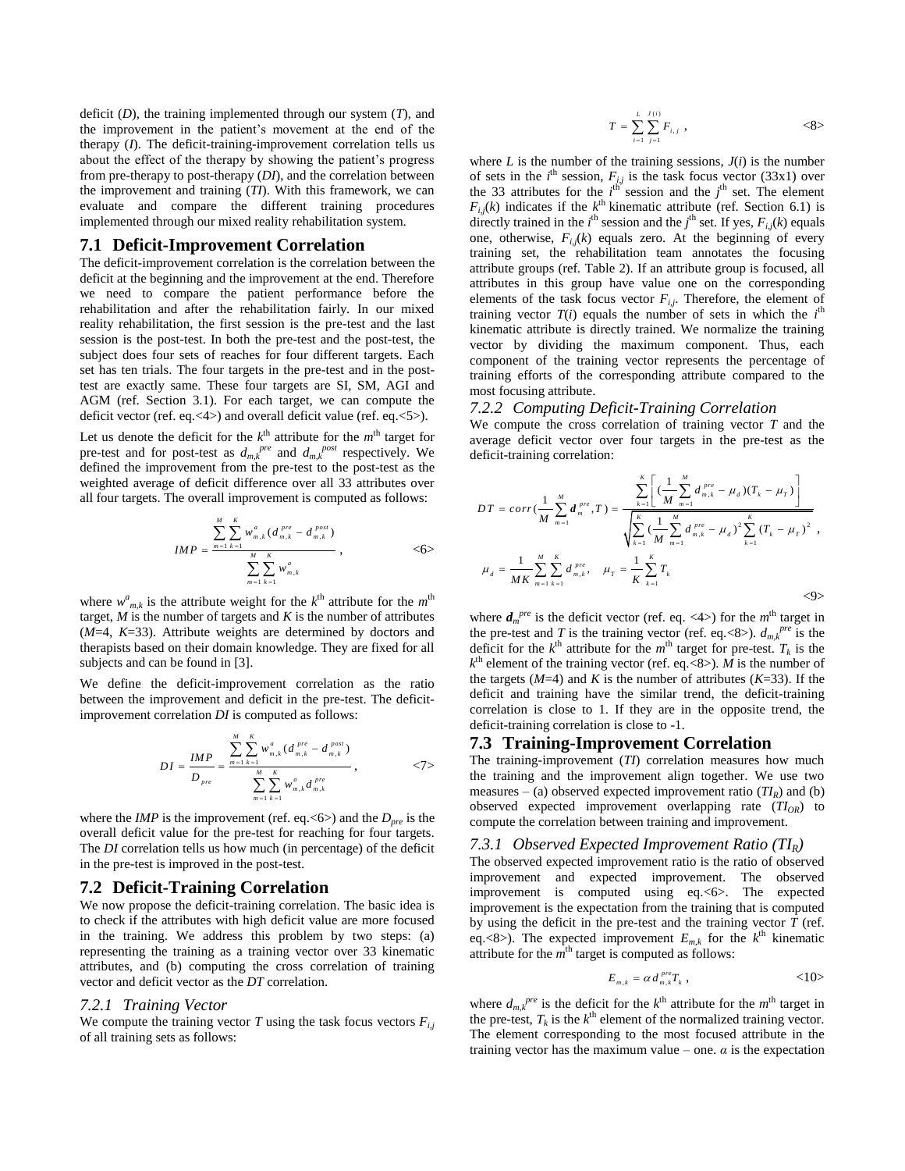deficit (*D*), the training implemented through our system (*T*), and the improvement in the patient's movement at the end of the therapy (*I*). The deficit-training-improvement correlation tells us about the effect of the therapy by showing the patient's progress from pre-therapy to post-therapy (*DI*), and the correlation between the improvement and training (*TI*). With this framework, we can evaluate and compare the different training procedures implemented through our mixed reality rehabilitation system.

#### **7.1 Deficit-Improvement Correlation**

The deficit-improvement correlation is the correlation between the deficit at the beginning and the improvement at the end. Therefore we need to compare the patient performance before the rehabilitation and after the rehabilitation fairly. In our mixed reality rehabilitation, the first session is the pre-test and the last session is the post-test. In both the pre-test and the post-test, the subject does four sets of reaches for four different targets. Each set has ten trials. The four targets in the pre-test and in the posttest are exactly same. These four targets are SI, SM, AGI and AGM (ref. Section [3.1\)](#page-1-1). For each target, we can compute the deficit vector (ref. eq.<4>) and overall deficit value (ref. eq.<5>).

Let us denote the deficit for the  $k^{\text{th}}$  attribute for the  $m^{\text{th}}$  target for pre-test and for post-test as  $d_{m,k}^{pre}$  and  $d_{m,k}^{post}$  respectively. We defined the improvement from the pre-test to the post-test as the weighted average of deficit difference over all 33 attributes over all four targets. The overall improvement is computed as follows:

$$
IMP = \frac{\sum_{m=1}^{M} \sum_{k=1}^{K} w_{m,k}^{a} (d_{m,k}^{pre} - d_{m,k}^{post})}{\sum_{m=1}^{M} \sum_{k=1}^{K} w_{m,k}^{a}}, \qquad \leq 6>
$$

where  $w_{m,k}^a$  is the attribute weight for the  $k^{\text{th}}$  attribute for the  $m^{\text{th}}$ target,  $M$  is the number of targets and  $K$  is the number of attributes (*M*=4, *K*=33). Attribute weights are determined by doctors and therapists based on their domain knowledge. They are fixed for all subjects and can be found in [3].

We define the deficit-improvement correlation as the ratio between the improvement and deficit in the pre-test. The deficitimprovement correlation *DI* is computed as follows:

$$
DI = \frac{IMP}{D_{pre}} = \frac{\sum_{m=1}^{M} \sum_{k=1}^{K} w_{m,k}^{a} (d_{m,k}^{pre} - d_{m,k}^{post})}{\sum_{m=1}^{M} \sum_{k=1}^{K} w_{m,k}^{a} d_{m,k}^{pre}}, \q 7>
$$

where the *IMP* is the improvement (ref. eq.  $\lt$  6>) and the  $D_{pre}$  is the overall deficit value for the pre-test for reaching for four targets. The *DI* correlation tells us how much (in percentage) of the deficit in the pre-test is improved in the post-test.

#### **7.2 Deficit-Training Correlation**

We now propose the deficit-training correlation. The basic idea is to check if the attributes with high deficit value are more focused in the training. We address this problem by two steps: (a) representing the training as a training vector over 33 kinematic attributes, and (b) computing the cross correlation of training vector and deficit vector as the *DT* correlation.

# *7.2.1 Training Vector*

We compute the training vector *T* using the task focus vectors  $F_{ij}$ of all training sets as follows:

$$
T = \sum_{i=1}^{L} \sum_{j=1}^{J(i)} F_{i,j} , \qquad \qquad \leq 8 >
$$

where  $L$  is the number of the training sessions,  $J(i)$  is the number of sets in the  $i^{\text{th}}$  session,  $F_{i,j}$  is the task focus vector (33x1) over the 33 attributes for the  $i^{\text{th}}$  session and the  $j^{\text{th}}$  set. The element  $F_{i,j}(k)$  indicates if the  $k^{\text{th}}$  kinematic attribute (ref. Section [6.1\)](#page-6-1) is directly trained in the  $i^{\text{th}}$  session and the  $j^{\text{th}}$  set. If yes,  $F_{i,j}(k)$  equals one, otherwise,  $F_{i,j}(k)$  equals zero. At the beginning of every training set, the rehabilitation team annotates the focusing attribute groups (ref. [Table 2\)](#page-7-0). If an attribute group is focused, all attributes in this group have value one on the corresponding elements of the task focus vector  $F_{i,j}$ . Therefore, the element of training vector  $T(i)$  equals the number of sets in which the  $i<sup>th</sup>$ kinematic attribute is directly trained. We normalize the training vector by dividing the maximum component. Thus, each component of the training vector represents the percentage of training efforts of the corresponding attribute compared to the most focusing attribute.

#### *7.2.2 Computing Deficit-Training Correlation*

We compute the cross correlation of training vector *T* and the average deficit vector over four targets in the pre-test as the deficit-training correlation:

$$
\text{cfrict-training correlation:}
$$
\n
$$
DT = corr(\frac{1}{M} \sum_{m=1}^{M} d_{m}^{pre}, T) = \frac{\sum_{k=1}^{K} \left[ (\frac{1}{M} \sum_{m=1}^{M} d_{m,k}^{pre} - \mu_{d}) (T_{k} - \mu_{T}) \right]}{\sqrt{\sum_{k=1}^{K} (\frac{1}{M} \sum_{m=1}^{M} d_{m,k}^{pre} - \mu_{d})^{2} \sum_{k=1}^{K} (T_{k} - \mu_{T})^{2}},
$$
\n
$$
\mu_{d} = \frac{1}{MK} \sum_{m=1}^{M} \sum_{k=1}^{K} d_{m,k}^{pre}, \quad \mu_{T} = \frac{1}{K} \sum_{k=1}^{K} T_{k}
$$
\n
$$
\langle 9 \rangle
$$

where  $d_m^{pre}$  is the deficit vector (ref. eq. <4>) for the  $m<sup>th</sup>$  target in the pre-test and *T* is the training vector (ref. eq. <8>).  $d_{m,k}^{pre}$  is the deficit for the  $k^{\text{th}}$  attribute for the  $m^{\text{th}}$  target for pre-test.  $T_k$  is the  $k^{\text{th}}$  element of the training vector (ref. eq. <8>). *M* is the number of the targets  $(M=4)$  and K is the number of attributes  $(K=33)$ . If the deficit and training have the similar trend, the deficit-training correlation is close to 1. If they are in the opposite trend, the deficit-training correlation is close to -1.

#### **7.3 Training-Improvement Correlation**

The training-improvement (*TI*) correlation measures how much the training and the improvement align together. We use two measures – (a) observed expected improvement ratio  $(TI_R)$  and (b) observed expected improvement overlapping rate (*TIOR*) to compute the correlation between training and improvement.

#### <span id="page-8-0"></span>*7.3.1 Observed Expected Improvement Ratio (TIR)*

The observed expected improvement ratio is the ratio of observed improvement and expected improvement. The observed improvement is computed using eq.<6>. The expected improvement is the expectation from the training that is computed by using the deficit in the pre-test and the training vector *T* (ref. eq.  $\lt 8$ ). The expected improvement  $E_{m,k}$  for the  $k^{\text{th}}$  kinematic attribute for the  $m<sup>th</sup>$  target is computed as follows:

$$
E_{m,k} = \alpha d_{m,k}^{pre} T_k , \qquad \qquad \langle 10 \rangle
$$

where  $d_{m,k}^{pre}$  is the deficit for the  $k^{\text{th}}$  attribute for the  $m^{\text{th}}$  target in the pre-test,  $T_k$  is the  $k^{\text{th}}$  element of the normalized training vector. The element corresponding to the most focused attribute in the training vector has the maximum value – one.  $\alpha$  is the expectation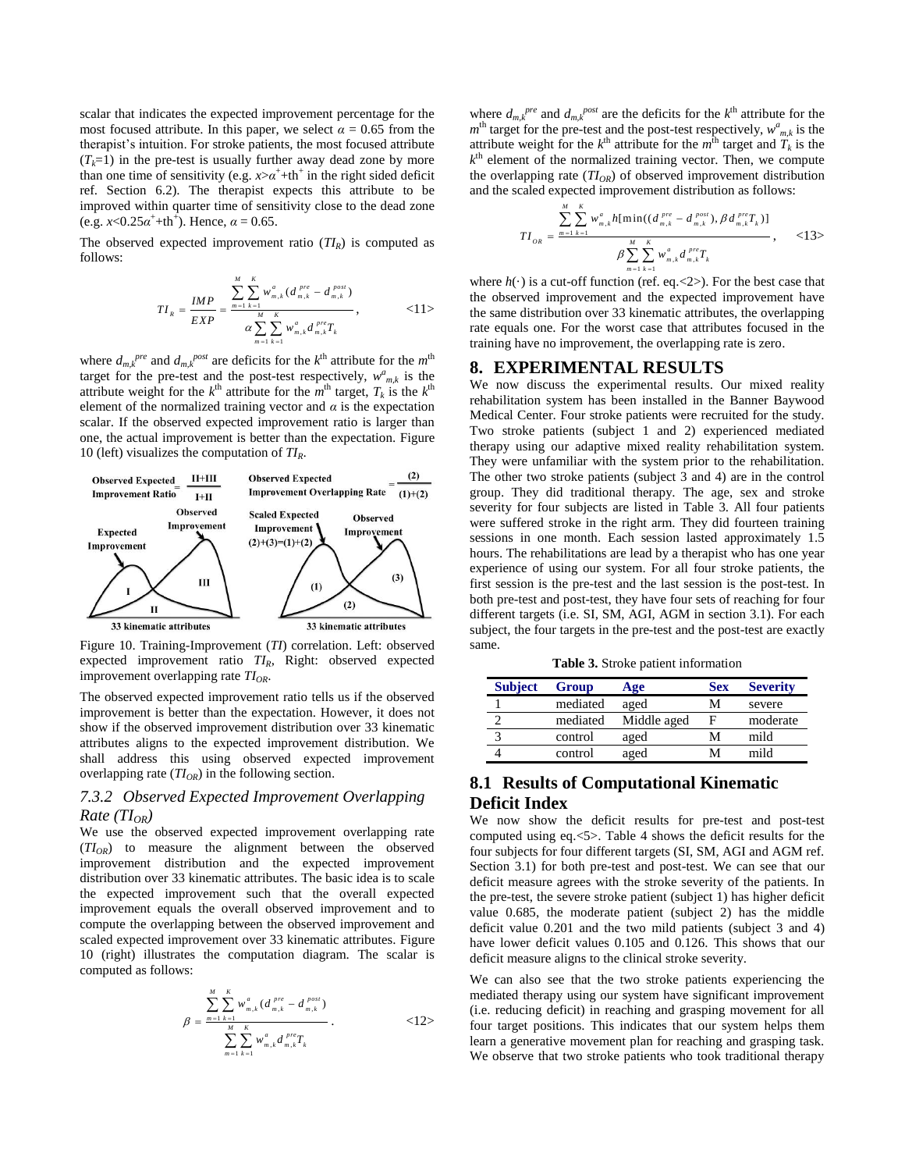scalar that indicates the expected improvement percentage for the most focused attribute. In this paper, we select  $\alpha = 0.65$  from the therapist's intuition. For stroke patients, the most focused attribute  $(T<sub>k</sub>=1)$  in the pre-test is usually further away dead zone by more than one time of sensitivity (e.g.  $x > a^+ + th^+$  in the right sided deficit ref. Section [6.2\)](#page-7-2). The therapist expects this attribute to be improved within quarter time of sensitivity close to the dead zone  $(e.g. x<0.25\alpha^+ + th^+)$ . Hence,  $\alpha = 0.65$ .

The observed expected improvement ratio  $(TI_R)$  is computed as follows:

$$
TI_{R} = \frac{IMP}{EXP} = \frac{\sum_{m=1}^{M} \sum_{k=1}^{K} w_{m,k}^{a} (d_{m,k}^{pre} - d_{m,k}^{post})}{\alpha \sum_{m=1}^{M} \sum_{k=1}^{K} w_{m,k}^{a} d_{m,k}^{pre} T_{k}}, \qquad \leq 11>
$$

where  $d_{m,k}^{pref}$  and  $d_{m,k}^{post}$  are deficits for the  $k^{\text{th}}$  attribute for the  $m^{\text{th}}$ target for the pre-test and the post-test respectively,  $w_{m,k}^a$  is the attribute weight for the  $k^{\text{th}}$  attribute for the  $m^{\text{th}}$  target,  $T_k$  is the  $k^{\text{th}}$ element of the normalized training vector and  $\alpha$  is the expectation scalar. If the observed expected improvement ratio is larger than one, the actual improvement is better than the expectation. [Figure](#page-9-0)  [10](#page-9-0) (left) visualizes the computation of *TIR*.



<span id="page-9-0"></span>Figure 10. Training-Improvement (*TI*) correlation. Left: observed expected improvement ratio *TIR*, Right: observed expected improvement overlapping rate *TIOR*.

The observed expected improvement ratio tells us if the observed improvement is better than the expectation. However, it does not show if the observed improvement distribution over 33 kinematic attributes aligns to the expected improvement distribution. We shall address this using observed expected improvement overlapping rate  $(TI_{OR})$  in the following section.

# <span id="page-9-2"></span>*7.3.2 Observed Expected Improvement Overlapping Rate (TIOR)*

We use the observed expected improvement overlapping rate  $(TI_{OR})$  to measure the alignment between the observed improvement distribution and the expected improvement distribution over 33 kinematic attributes. The basic idea is to scale the expected improvement such that the overall expected improvement equals the overall observed improvement and to compute the overlapping between the observed improvement and scaled expected improvement over 33 kinematic attributes. [Figure](#page-9-0)  [10](#page-9-0) (right) illustrates the computation diagram. The scalar is computed as follows:

$$
\beta = \frac{\sum_{m=1}^{M} \sum_{k=1}^{K} w_{m,k}^{a} (d_{m,k}^{pre} - d_{m,k}^{post})}{\sum_{m=1}^{M} \sum_{k=1}^{K} w_{m,k}^{a} d_{m,k}^{pre} T_{k}}.
$$
 
$$
\langle 12 \rangle
$$

where  $d_{m,k}^{p}$  and  $d_{m,k}^{p}$  are the deficits for the  $k^{\text{th}}$  attribute for the  $m<sup>th</sup>$  target for the pre-test and the post-test respectively,  $w<sup>a</sup>_{m,k}$  is the attribute weight for the  $k^{\text{th}}$  attribute for the  $m^{\text{th}}$  target and  $T_k$  is the  $k<sup>th</sup>$  element of the normalized training vector. Then, we compute the overlapping rate  $(TI_{OR})$  of observed improvement distribution

and the scaled expected improvement distribution as follows:  
\n
$$
\sum_{m=1}^{M} \sum_{k=1}^{K} w_{m,k}^{a} h[\min((d_{m,k}^{pre} - d_{m,k}^{post}), \beta d_{m,k}^{pre} T_{k})]
$$
\n
$$
TI_{OR} = \frac{m=1 \, k=1}{\beta} \sum_{m=1}^{M} \sum_{k=1}^{K} w_{m,k}^{a} d_{m,k}^{pre} T_{k}
$$
\n
$$
(13)
$$

where  $h(\cdot)$  is a cut-off function (ref. eq. < 2>). For the best case that the observed improvement and the expected improvement have the same distribution over 33 kinematic attributes, the overlapping rate equals one. For the worst case that attributes focused in the training have no improvement, the overlapping rate is zero.

# **8. EXPERIMENTAL RESULTS**

We now discuss the experimental results. Our mixed reality rehabilitation system has been installed in the Banner Baywood Medical Center. Four stroke patients were recruited for the study. Two stroke patients (subject 1 and 2) experienced mediated therapy using our adaptive mixed reality rehabilitation system. They were unfamiliar with the system prior to the rehabilitation. The other two stroke patients (subject 3 and 4) are in the control group. They did traditional therapy. The age, sex and stroke severity for four subjects are listed in [Table 3.](#page-9-1) All four patients were suffered stroke in the right arm. They did fourteen training sessions in one month. Each session lasted approximately 1.5 hours. The rehabilitations are lead by a therapist who has one year experience of using our system. For all four stroke patients, the first session is the pre-test and the last session is the post-test. In both pre-test and post-test, they have four sets of reaching for four different targets (i.e. SI, SM, AGI, AGM in section [3.1\)](#page-1-1). For each subject, the four targets in the pre-test and the post-test are exactly same.

**Table 3.** Stroke patient information

<span id="page-9-1"></span>

| <b>Subject</b> | Group    | Age         | <b>Sex</b> | <b>Severity</b> |
|----------------|----------|-------------|------------|-----------------|
|                | mediated | aged        |            | severe          |
|                | mediated | Middle aged | F          | moderate        |
|                | control  | aged        |            | mild            |
|                | control  | aged        |            | mild            |

# **8.1 Results of Computational Kinematic Deficit Index**

We now show the deficit results for pre-test and post-test computed using eq.<5>. [Table 4](#page-10-0) shows the deficit results for the four subjects for four different targets (SI, SM, AGI and AGM ref. Section [3.1\)](#page-1-1) for both pre-test and post-test. We can see that our deficit measure agrees with the stroke severity of the patients. In the pre-test, the severe stroke patient (subject 1) has higher deficit value 0.685, the moderate patient (subject 2) has the middle deficit value 0.201 and the two mild patients (subject 3 and 4) have lower deficit values 0.105 and 0.126. This shows that our deficit measure aligns to the clinical stroke severity.

We can also see that the two stroke patients experiencing the mediated therapy using our system have significant improvement (i.e. reducing deficit) in reaching and grasping movement for all four target positions. This indicates that our system helps them learn a generative movement plan for reaching and grasping task. We observe that two stroke patients who took traditional therapy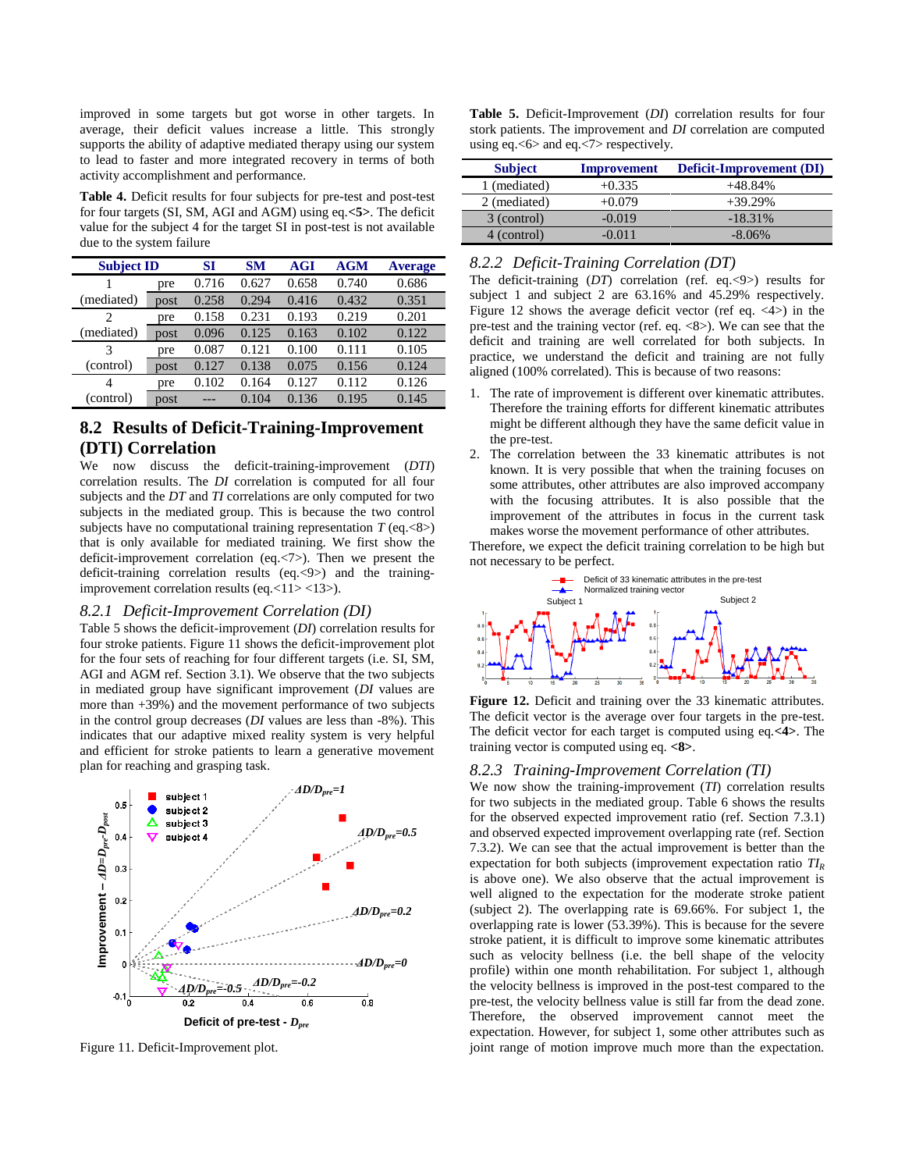improved in some targets but got worse in other targets. In average, their deficit values increase a little. This strongly supports the ability of adaptive mediated therapy using our system to lead to faster and more integrated recovery in terms of both activity accomplishment and performance.

<span id="page-10-0"></span>**Table 4.** Deficit results for four subjects for pre-test and post-test for four targets (SI, SM, AGI and AGM) using eq.**<5>**. The deficit value for the subject 4 for the target SI in post-test is not available due to the system failure

| <b>Subject ID</b> |      | SI    | <b>SM</b> | AGI   | <b>AGM</b> | <b>Average</b> |
|-------------------|------|-------|-----------|-------|------------|----------------|
|                   | pre  | 0.716 | 0.627     | 0.658 | 0.740      | 0.686          |
| (mediated)        | post | 0.258 | 0.294     | 0.416 | 0.432      | 0.351          |
| 2                 | pre  | 0.158 | 0.231     | 0.193 | 0.219      | 0.201          |
| (mediated)        | post | 0.096 | 0.125     | 0.163 | 0.102      | 0.122          |
| 3                 | pre  | 0.087 | 0.121     | 0.100 | 0.111      | 0.105          |
| (control)         | post | 0.127 | 0.138     | 0.075 | 0.156      | 0.124          |
| 4                 | pre  | 0.102 | 0.164     | 0.127 | 0.112      | 0.126          |
| (control)         | post |       | 0.104     | 0.136 | 0.195      | 0.145          |

# **8.2 Results of Deficit-Training-Improvement (DTI) Correlation**

We now discuss the deficit-training-improvement (*DTI*) correlation results. The *DI* correlation is computed for all four subjects and the *DT* and *TI* correlations are only computed for two subjects in the mediated group. This is because the two control subjects have no computational training representation *T* (eq.<8>) that is only available for mediated training. We first show the deficit-improvement correlation (eq.<7>). Then we present the deficit-training correlation results (eq.<9>) and the trainingimprovement correlation results (eq.<11> <13>).

#### *8.2.1 Deficit-Improvement Correlation (DI)*

[Table 5](#page-10-1) shows the deficit-improvement (*DI*) correlation results for four stroke patients[. Figure 11](#page-10-2) shows the deficit-improvement plot for the four sets of reaching for four different targets (i.e. SI, SM, AGI and AGM ref. Sectio[n 3.1\)](#page-1-1). We observe that the two subjects in mediated group have significant improvement (*DI* values are more than +39%) and the movement performance of two subjects in the control group decreases (*DI* values are less than -8%). This indicates that our adaptive mixed reality system is very helpful and efficient for stroke patients to learn a generative movement plan for reaching and grasping task.



<span id="page-10-2"></span>Figure 11. Deficit-Improvement plot.

<span id="page-10-1"></span>**Table 5.** Deficit-Improvement (*DI*) correlation results for four stork patients. The improvement and *DI* correlation are computed using eq.<6> and eq.<7> respectively.

| <b>Subject</b> | Improvement | Deficit-Improvement (DI) |
|----------------|-------------|--------------------------|
| 1 (mediated)   | $+0.335$    | $+48.84%$                |
| 2 (mediated)   | $+0.079$    | $+39.29%$                |
| 3 (control)    | $-0.019$    | $-18.31\%$               |
| 4 (control)    | $-0.011$    | $-8.06\%$                |

#### *8.2.2 Deficit-Training Correlation (DT)*

The deficit-training (*DT*) correlation (ref. eq.<9>) results for subject 1 and subject 2 are 63.16% and 45.29% respectively. [Figure 12](#page-10-3) shows the average deficit vector (ref eq.  $\langle 4 \rangle$ ) in the pre-test and the training vector (ref. eq. <8>). We can see that the deficit and training are well correlated for both subjects. In practice, we understand the deficit and training are not fully aligned (100% correlated). This is because of two reasons:

- 1. The rate of improvement is different over kinematic attributes. Therefore the training efforts for different kinematic attributes might be different although they have the same deficit value in the pre-test.
- 2. The correlation between the 33 kinematic attributes is not known. It is very possible that when the training focuses on some attributes, other attributes are also improved accompany with the focusing attributes. It is also possible that the improvement of the attributes in focus in the current task makes worse the movement performance of other attributes.

Therefore, we expect the deficit training correlation to be high but not necessary to be perfect.



<span id="page-10-3"></span>Figure 12. Deficit and training over the 33 kinematic attributes. The deficit vector is the average over four targets in the pre-test. The deficit vector for each target is computed using eq.**<4>**. The training vector is computed using eq. **<8>**.

# *8.2.3 Training-Improvement Correlation (TI)*

We now show the training-improvement (*TI*) correlation results for two subjects in the mediated group[. Table 6](#page-11-0) shows the results for the observed expected improvement ratio (ref. Section [7.3.1\)](#page-8-0) and observed expected improvement overlapping rate (ref. Section [7.3.2\)](#page-9-2). We can see that the actual improvement is better than the expectation for both subjects (improvement expectation ratio *TI<sup>R</sup>* is above one). We also observe that the actual improvement is well aligned to the expectation for the moderate stroke patient (subject 2). The overlapping rate is 69.66%. For subject 1, the overlapping rate is lower (53.39%). This is because for the severe stroke patient, it is difficult to improve some kinematic attributes such as velocity bellness (i.e. the bell shape of the velocity profile) within one month rehabilitation. For subject 1, although the velocity bellness is improved in the post-test compared to the pre-test, the velocity bellness value is still far from the dead zone. Therefore, the observed improvement cannot meet the expectation. However, for subject 1, some other attributes such as joint range of motion improve much more than the expectation.